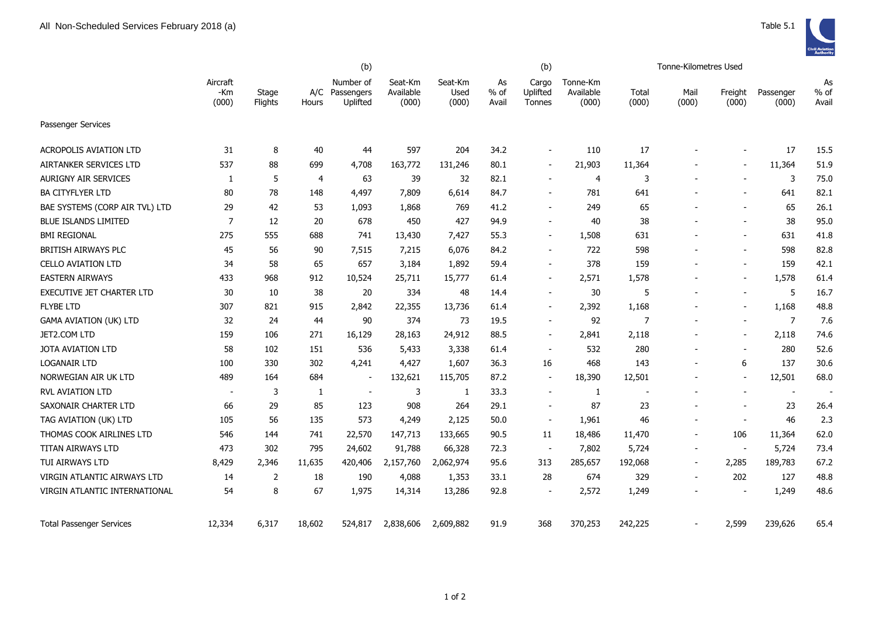|                                    |                          | (b)              |              |                                         |                               |                          |                       | (b)                         |                                |                | Tonne-Kilometres Used    |                          |                          |                       |
|------------------------------------|--------------------------|------------------|--------------|-----------------------------------------|-------------------------------|--------------------------|-----------------------|-----------------------------|--------------------------------|----------------|--------------------------|--------------------------|--------------------------|-----------------------|
|                                    | Aircraft<br>-Km<br>(000) | Stage<br>Flights | Hours        | Number of<br>A/C Passengers<br>Uplifted | Seat-Km<br>Available<br>(000) | Seat-Km<br>Used<br>(000) | As<br>$%$ of<br>Avail | Cargo<br>Uplifted<br>Tonnes | Tonne-Km<br>Available<br>(000) | Total<br>(000) | Mail<br>(000)            | Freight<br>(000)         | Passenger<br>(000)       | As<br>$%$ of<br>Avail |
| <b>Passenger Services</b>          |                          |                  |              |                                         |                               |                          |                       |                             |                                |                |                          |                          |                          |                       |
| <b>ACROPOLIS AVIATION LTD</b>      | 31                       | 8                | 40           | 44                                      | 597                           | 204                      | 34.2                  |                             | 110                            | 17             |                          |                          | 17                       | 15.5                  |
| <b>AIRTANKER SERVICES LTD</b>      | 537                      | 88               | 699          | 4,708                                   | 163,772                       | 131,246                  | 80.1                  | $\overline{\phantom{a}}$    | 21,903                         | 11,364         |                          |                          | 11,364                   | 51.9                  |
| <b>AURIGNY AIR SERVICES</b>        | 1                        | 5                | 4            | 63                                      | 39                            | 32                       | 82.1                  | $\sim$                      | 4                              | 3              |                          | $\blacksquare$           | 3                        | 75.0                  |
| <b>BA CITYFLYER LTD</b>            | 80                       | 78               | 148          | 4,497                                   | 7,809                         | 6,614                    | 84.7                  | $\blacksquare$              | 781                            | 641            |                          |                          | 641                      | 82.1                  |
| BAE SYSTEMS (CORP AIR TVL) LTD     | 29                       | 42               | 53           | 1,093                                   | 1,868                         | 769                      | 41.2                  | $\overline{\phantom{a}}$    | 249                            | 65             |                          |                          | 65                       | 26.1                  |
| <b>BLUE ISLANDS LIMITED</b>        | $\overline{7}$           | 12               | 20           | 678                                     | 450                           | 427                      | 94.9                  | $\sim$                      | 40                             | 38             |                          |                          | 38                       | 95.0                  |
| <b>BMI REGIONAL</b>                | 275                      | 555              | 688          | 741                                     | 13,430                        | 7,427                    | 55.3                  | $\overline{\phantom{a}}$    | 1,508                          | 631            |                          | $\blacksquare$           | 631                      | 41.8                  |
| BRITISH AIRWAYS PLC                | 45                       | 56               | 90           | 7,515                                   | 7,215                         | 6,076                    | 84.2                  | $\blacksquare$              | 722                            | 598            |                          |                          | 598                      | 82.8                  |
| <b>CELLO AVIATION LTD</b>          | 34                       | 58               | 65           | 657                                     | 3,184                         | 1,892                    | 59.4                  |                             | 378                            | 159            |                          |                          | 159                      | 42.1                  |
| <b>EASTERN AIRWAYS</b>             | 433                      | 968              | 912          | 10,524                                  | 25,711                        | 15,777                   | 61.4                  | $\overline{\phantom{a}}$    | 2,571                          | 1,578          |                          |                          | 1,578                    | 61.4                  |
| EXECUTIVE JET CHARTER LTD          | 30                       | 10               | 38           | 20                                      | 334                           | 48                       | 14.4                  | $\blacksquare$              | 30                             | 5              |                          | $\overline{\phantom{0}}$ | 5                        | 16.7                  |
| <b>FLYBE LTD</b>                   | 307                      | 821              | 915          | 2,842                                   | 22,355                        | 13,736                   | 61.4                  | $\overline{\phantom{a}}$    | 2,392                          | 1,168          |                          | $\blacksquare$           | 1,168                    | 48.8                  |
| <b>GAMA AVIATION (UK) LTD</b>      | 32                       | 24               | 44           | 90                                      | 374                           | 73                       | 19.5                  | $\blacksquare$              | 92                             | $\overline{7}$ |                          | $\blacksquare$           | $\overline{7}$           | 7.6                   |
| JET2.COM LTD                       | 159                      | 106              | 271          | 16,129                                  | 28,163                        | 24,912                   | 88.5                  | $\overline{\phantom{a}}$    | 2,841                          | 2,118          | $\overline{\phantom{a}}$ | $\blacksquare$           | 2,118                    | 74.6                  |
| JOTA AVIATION LTD                  | 58                       | 102              | 151          | 536                                     | 5,433                         | 3,338                    | 61.4                  | $\overline{\phantom{a}}$    | 532                            | 280            |                          | $\blacksquare$           | 280                      | 52.6                  |
| <b>LOGANAIR LTD</b>                | 100                      | 330              | 302          | 4,241                                   | 4,427                         | 1,607                    | 36.3                  | 16                          | 468                            | 143            | $\blacksquare$           | 6                        | 137                      | 30.6                  |
| NORWEGIAN AIR UK LTD               | 489                      | 164              | 684          | $\overline{a}$                          | 132,621                       | 115,705                  | 87.2                  | $\overline{\phantom{a}}$    | 18,390                         | 12,501         |                          |                          | 12,501                   | 68.0                  |
| RVL AVIATION LTD                   | $\overline{\phantom{a}}$ | 3                | $\mathbf{1}$ | $\overline{\phantom{a}}$                | 3                             | -1                       | 33.3                  | $\blacksquare$              | 1                              |                |                          |                          | $\overline{\phantom{a}}$ |                       |
| SAXONAIR CHARTER LTD               | 66                       | 29               | 85           | 123                                     | 908                           | 264                      | 29.1                  | $\blacksquare$              | 87                             | 23             |                          |                          | 23                       | 26.4                  |
| TAG AVIATION (UK) LTD              | 105                      | 56               | 135          | 573                                     | 4,249                         | 2,125                    | 50.0                  | $\overline{\phantom{a}}$    | 1,961                          | 46             |                          | $\blacksquare$           | 46                       | 2.3                   |
| THOMAS COOK AIRLINES LTD           | 546                      | 144              | 741          | 22,570                                  | 147,713                       | 133,665                  | 90.5                  | 11                          | 18,486                         | 11,470         | $\overline{a}$           | 106                      | 11,364                   | 62.0                  |
| <b>TITAN AIRWAYS LTD</b>           | 473                      | 302              | 795          | 24,602                                  | 91,788                        | 66,328                   | 72.3                  | $\sim$                      | 7,802                          | 5,724          | $\overline{\phantom{m}}$ | $\overline{\phantom{a}}$ | 5,724                    | 73.4                  |
| TUI AIRWAYS LTD                    | 8,429                    | 2,346            | 11,635       | 420,406                                 | 2,157,760                     | 2,062,974                | 95.6                  | 313                         | 285,657                        | 192,068        | $\overline{\phantom{a}}$ | 2,285                    | 189,783                  | 67.2                  |
| <b>VIRGIN ATLANTIC AIRWAYS LTD</b> | 14                       | $\overline{2}$   | 18           | 190                                     | 4,088                         | 1,353                    | 33.1                  | 28                          | 674                            | 329            | $\blacksquare$           | 202                      | 127                      | 48.8                  |
| VIRGIN ATLANTIC INTERNATIONAL      | 54                       | 8                | 67           | 1,975                                   | 14,314                        | 13,286                   | 92.8                  |                             | 2,572                          | 1,249          |                          |                          | 1,249                    | 48.6                  |
| <b>Total Passenger Services</b>    | 12,334                   | 6,317            | 18,602       | 524,817                                 | 2,838,606                     | 2,609,882                | 91.9                  | 368                         | 370,253                        | 242,225        |                          | 2,599                    | 239,626                  | 65.4                  |